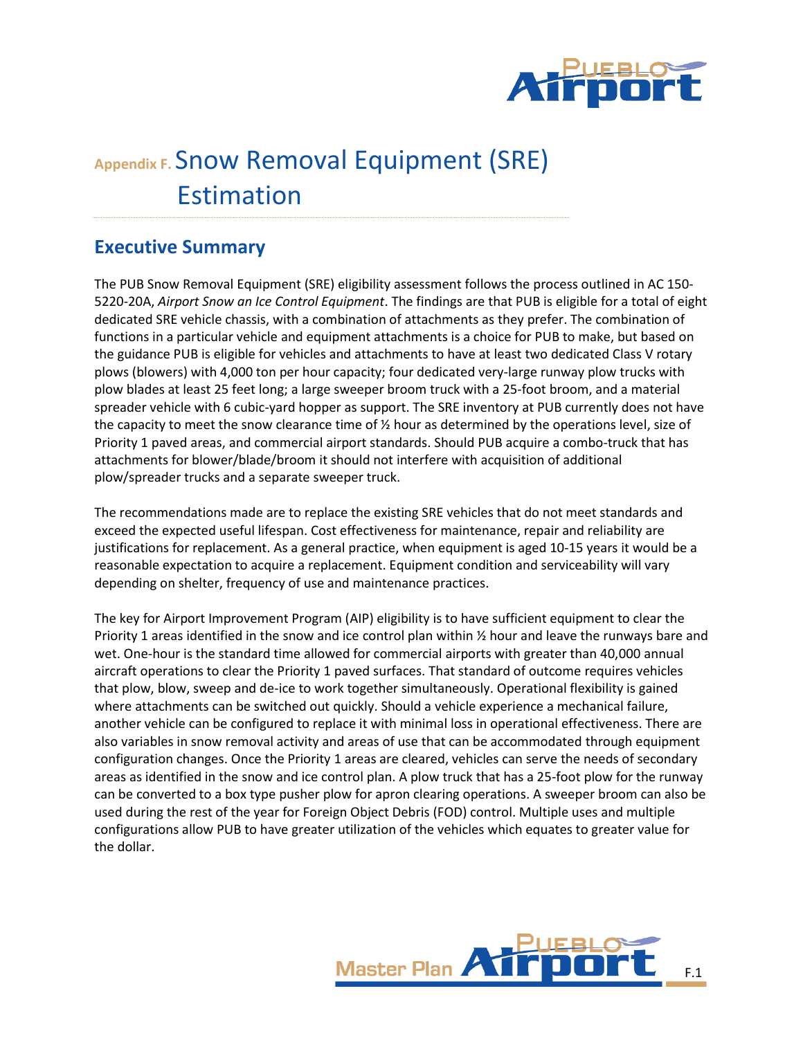

# **Appendix F.** Snow Removal Equipment (SRE) Estimation

# **Executive Summary**

The PUB Snow Removal Equipment (SRE) eligibility assessment follows the process outlined in AC 150- 5220-20A, *Airport Snow an Ice Control Equipment*. The findings are that PUB is eligible for a total of eight dedicated SRE vehicle chassis, with a combination of attachments as they prefer. The combination of functions in a particular vehicle and equipment attachments is a choice for PUB to make, but based on the guidance PUB is eligible for vehicles and attachments to have at least two dedicated Class V rotary plows (blowers) with 4,000 ton per hour capacity; four dedicated very-large runway plow trucks with plow blades at least 25 feet long; a large sweeper broom truck with a 25-foot broom, and a material spreader vehicle with 6 cubic-yard hopper as support. The SRE inventory at PUB currently does not have the capacity to meet the snow clearance time of ½ hour as determined by the operations level, size of Priority 1 paved areas, and commercial airport standards. Should PUB acquire a combo-truck that has attachments for blower/blade/broom it should not interfere with acquisition of additional plow/spreader trucks and a separate sweeper truck.

The recommendations made are to replace the existing SRE vehicles that do not meet standards and exceed the expected useful lifespan. Cost effectiveness for maintenance, repair and reliability are justifications for replacement. As a general practice, when equipment is aged 10-15 years it would be a reasonable expectation to acquire a replacement. Equipment condition and serviceability will vary depending on shelter, frequency of use and maintenance practices.

The key for Airport Improvement Program (AIP) eligibility is to have sufficient equipment to clear the Priority 1 areas identified in the snow and ice control plan within ½ hour and leave the runways bare and wet. One-hour is the standard time allowed for commercial airports with greater than 40,000 annual aircraft operations to clear the Priority 1 paved surfaces. That standard of outcome requires vehicles that plow, blow, sweep and de-ice to work together simultaneously. Operational flexibility is gained where attachments can be switched out quickly. Should a vehicle experience a mechanical failure, another vehicle can be configured to replace it with minimal loss in operational effectiveness. There are also variables in snow removal activity and areas of use that can be accommodated through equipment configuration changes. Once the Priority 1 areas are cleared, vehicles can serve the needs of secondary areas as identified in the snow and ice control plan. A plow truck that has a 25-foot plow for the runway can be converted to a box type pusher plow for apron clearing operations. A sweeper broom can also be used during the rest of the year for Foreign Object Debris (FOD) control. Multiple uses and multiple configurations allow PUB to have greater utilization of the vehicles which equates to greater value for the dollar.

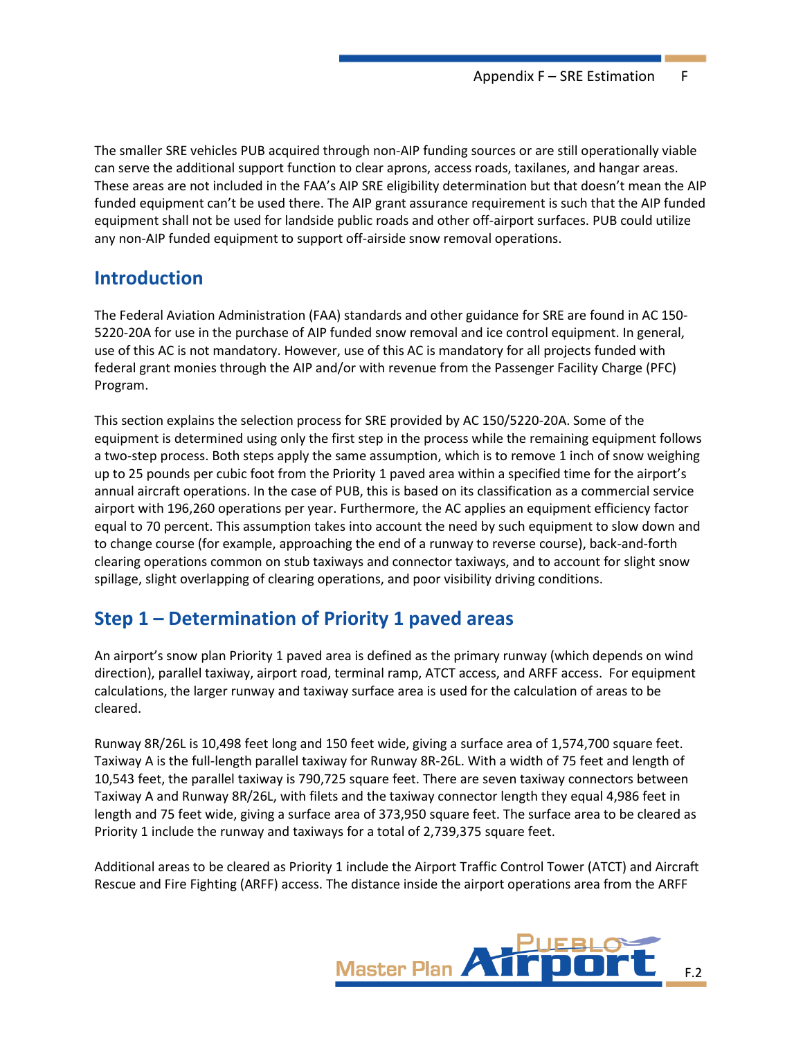The smaller SRE vehicles PUB acquired through non-AIP funding sources or are still operationally viable can serve the additional support function to clear aprons, access roads, taxilanes, and hangar areas. These areas are not included in the FAA's AIP SRE eligibility determination but that doesn't mean the AIP funded equipment can't be used there. The AIP grant assurance requirement is such that the AIP funded equipment shall not be used for landside public roads and other off-airport surfaces. PUB could utilize any non-AIP funded equipment to support off-airside snow removal operations.

### **Introduction**

The Federal Aviation Administration (FAA) standards and other guidance for SRE are found in AC 150- 5220-20A for use in the purchase of AIP funded snow removal and ice control equipment. In general, use of this AC is not mandatory. However, use of this AC is mandatory for all projects funded with federal grant monies through the AIP and/or with revenue from the Passenger Facility Charge (PFC) Program.

This section explains the selection process for SRE provided by AC 150/5220-20A. Some of the equipment is determined using only the first step in the process while the remaining equipment follows a two-step process. Both steps apply the same assumption, which is to remove 1 inch of snow weighing up to 25 pounds per cubic foot from the Priority 1 paved area within a specified time for the airport's annual aircraft operations. In the case of PUB, this is based on its classification as a commercial service airport with 196,260 operations per year. Furthermore, the AC applies an equipment efficiency factor equal to 70 percent. This assumption takes into account the need by such equipment to slow down and to change course (for example, approaching the end of a runway to reverse course), back-and-forth clearing operations common on stub taxiways and connector taxiways, and to account for slight snow spillage, slight overlapping of clearing operations, and poor visibility driving conditions.

# **Step 1 – Determination of Priority 1 paved areas**

An airport's snow plan Priority 1 paved area is defined as the primary runway (which depends on wind direction), parallel taxiway, airport road, terminal ramp, ATCT access, and ARFF access. For equipment calculations, the larger runway and taxiway surface area is used for the calculation of areas to be cleared.

Runway 8R/26L is 10,498 feet long and 150 feet wide, giving a surface area of 1,574,700 square feet. Taxiway A is the full-length parallel taxiway for Runway 8R-26L. With a width of 75 feet and length of 10,543 feet, the parallel taxiway is 790,725 square feet. There are seven taxiway connectors between Taxiway A and Runway 8R/26L, with filets and the taxiway connector length they equal 4,986 feet in length and 75 feet wide, giving a surface area of 373,950 square feet. The surface area to be cleared as Priority 1 include the runway and taxiways for a total of 2,739,375 square feet.

Additional areas to be cleared as Priority 1 include the Airport Traffic Control Tower (ATCT) and Aircraft Rescue and Fire Fighting (ARFF) access. The distance inside the airport operations area from the ARFF

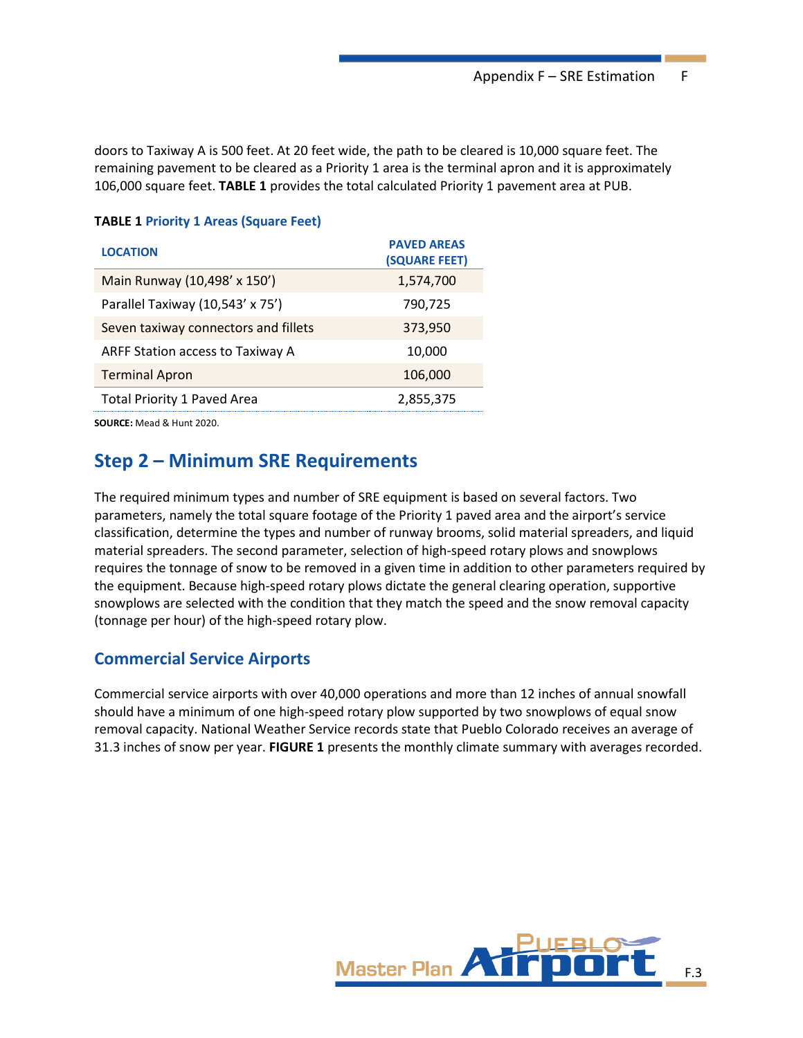doors to Taxiway A is 500 feet. At 20 feet wide, the path to be cleared is 10,000 square feet. The remaining pavement to be cleared as a Priority 1 area is the terminal apron and it is approximately 106,000 square feet. **TABLE 1** provides the total calculated Priority 1 pavement area at PUB.

#### **TABLE 1 Priority 1 Areas (Square Feet)**

| <b>LOCATION</b>                      | <b>PAVED AREAS</b><br>(SQUARE FEET) |
|--------------------------------------|-------------------------------------|
| Main Runway (10,498' x 150')         | 1,574,700                           |
| Parallel Taxiway (10,543' x 75')     | 790,725                             |
| Seven taxiway connectors and fillets | 373,950                             |
| ARFF Station access to Taxiway A     | 10,000                              |
| <b>Terminal Apron</b>                | 106,000                             |
| <b>Total Priority 1 Paved Area</b>   | 2,855,375                           |
|                                      |                                     |

**SOURCE:** Mead & Hunt 2020.

### **Step 2 – Minimum SRE Requirements**

The required minimum types and number of SRE equipment is based on several factors. Two parameters, namely the total square footage of the Priority 1 paved area and the airport's service classification, determine the types and number of runway brooms, solid material spreaders, and liquid material spreaders. The second parameter, selection of high-speed rotary plows and snowplows requires the tonnage of snow to be removed in a given time in addition to other parameters required by the equipment. Because high-speed rotary plows dictate the general clearing operation, supportive snowplows are selected with the condition that they match the speed and the snow removal capacity (tonnage per hour) of the high-speed rotary plow.

### **Commercial Service Airports**

Commercial service airports with over 40,000 operations and more than 12 inches of annual snowfall should have a minimum of one high-speed rotary plow supported by two snowplows of equal snow removal capacity. National Weather Service records state that Pueblo Colorado receives an average of 31.3 inches of snow per year. **FIGURE 1** presents the monthly climate summary with averages recorded.

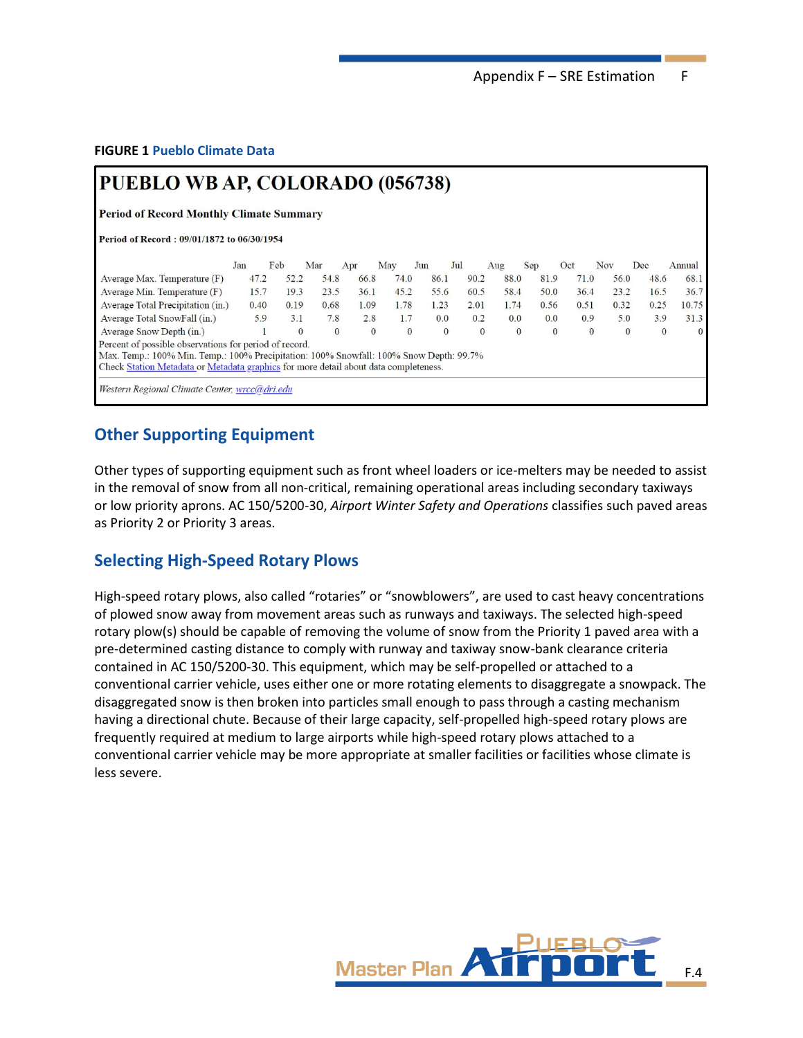Appendix F - SRE Estimation F

**FIGURE 1 Pueblo Climate Data**

### PUEBLO WB AP, COLORADO (056738)

**Period of Record Monthly Climate Summary** 

Period of Record: 09/01/1872 to 06/30/1954

|                                                                                        | Jan  | Feb      | Mar          | Apr          | May          | Jun  | Jul          |          | Aug      | Sep          | Oct      | Nov      | Dec      | Annual   |
|----------------------------------------------------------------------------------------|------|----------|--------------|--------------|--------------|------|--------------|----------|----------|--------------|----------|----------|----------|----------|
| Average Max. Temperature (F)                                                           | 47.2 | 52.2     | 54.8         | 66.8         | 74.0         | 86.1 |              | 90.2     | 88.0     | 81.9         | 71.0     | 56.0     | 48.6     | 68.1     |
| Average Min. Temperature $(F)$                                                         | 15.7 | 19.3     | 23.5         | 36.1         | 45.2         | 55.6 |              | 60.5     | 58.4     | 50.0         | 36.4     | 23.2     | 16.5     | 36.7     |
| Average Total Precipitation (in.)                                                      | 0.40 | 0.19     | 0.68         | 1.09         | 1.78         | 1.23 |              | 2.01     | 1.74     | 0.56         | 0.51     | 0.32     | 0.25     | 10.75    |
| Average Total SnowFall (in.)                                                           | 5.9  | 3.1      | 7.8          | 2.8          | .7           | 0.0  |              | 0.2      | 0.0      | 0.0          | 0.9      | 5.0      | 3.9      | 31.3     |
| Average Snow Depth (in.)                                                               |      | $\Omega$ | $\mathbf{0}$ | $\mathbf{0}$ | $\mathbf{0}$ |      | $\mathbf{0}$ | $\theta$ | $\theta$ | $\mathbf{0}$ | $\theta$ | $\Omega$ | $\bf{0}$ | $\theta$ |
| Percent of possible observations for period of record.                                 |      |          |              |              |              |      |              |          |          |              |          |          |          |          |
| Max. Temp.: 100% Min. Temp.: 100% Precipitation: 100% Snowfall: 100% Snow Depth: 99.7% |      |          |              |              |              |      |              |          |          |              |          |          |          |          |
| Check Station Metadata or Metadata graphics for more detail about data completeness.   |      |          |              |              |              |      |              |          |          |              |          |          |          |          |
| Western Regional Climate Center wrcc@dri edu                                           |      |          |              |              |              |      |              |          |          |              |          |          |          |          |

### **Other Supporting Equipment**

Other types of supporting equipment such as front wheel loaders or ice-melters may be needed to assist in the removal of snow from all non-critical, remaining operational areas including secondary taxiways or low priority aprons. AC 150/5200-30, *Airport Winter Safety and Operations* classifies such paved areas as Priority 2 or Priority 3 areas.

### **Selecting High-Speed Rotary Plows**

High-speed rotary plows, also called "rotaries" or "snowblowers", are used to cast heavy concentrations of plowed snow away from movement areas such as runways and taxiways. The selected high-speed rotary plow(s) should be capable of removing the volume of snow from the Priority 1 paved area with a pre-determined casting distance to comply with runway and taxiway snow-bank clearance criteria contained in AC 150/5200-30. This equipment, which may be self-propelled or attached to a conventional carrier vehicle, uses either one or more rotating elements to disaggregate a snowpack. The disaggregated snow is then broken into particles small enough to pass through a casting mechanism having a directional chute. Because of their large capacity, self-propelled high-speed rotary plows are frequently required at medium to large airports while high-speed rotary plows attached to a conventional carrier vehicle may be more appropriate at smaller facilities or facilities whose climate is less severe.

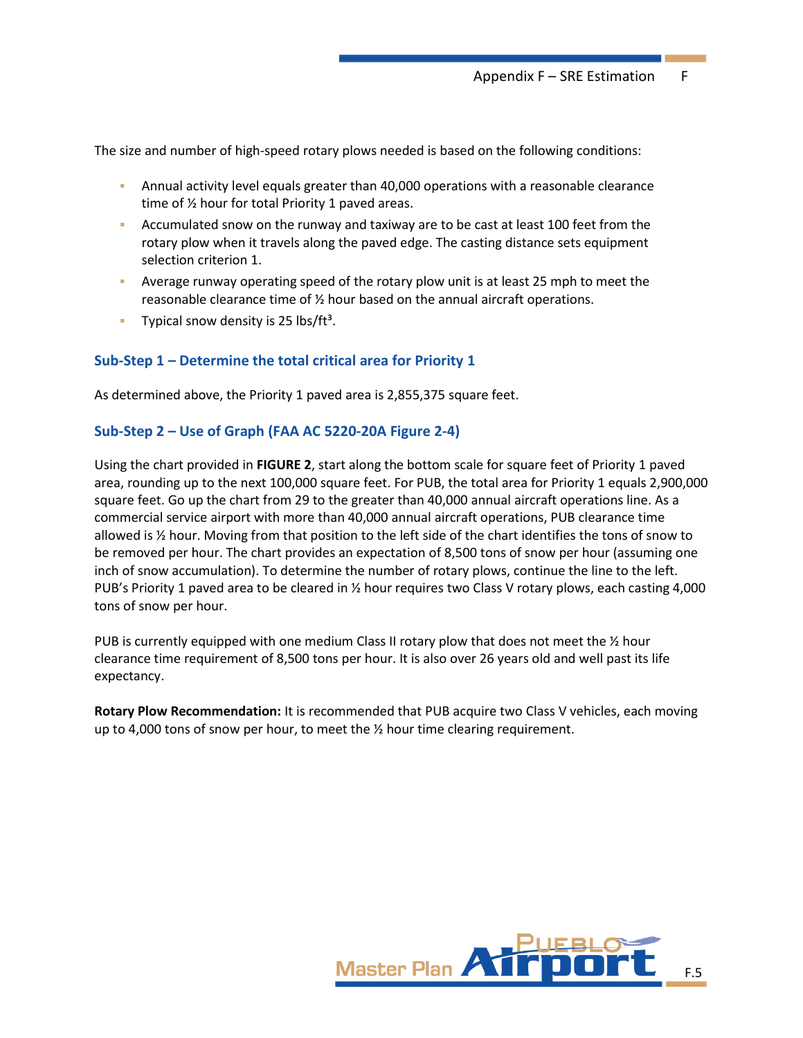The size and number of high-speed rotary plows needed is based on the following conditions:

- **•** Annual activity level equals greater than 40,000 operations with a reasonable clearance time of ½ hour for total Priority 1 paved areas.
- **EXECUMUM** Accumulated snow on the runway and taxiway are to be cast at least 100 feet from the rotary plow when it travels along the paved edge. The casting distance sets equipment selection criterion 1.
- **•** Average runway operating speed of the rotary plow unit is at least 25 mph to meet the reasonable clearance time of ½ hour based on the annual aircraft operations.
- **•** Typical snow density is 25 lbs/ft<sup>3</sup>.

#### **Sub-Step 1 – Determine the total critical area for Priority 1**

As determined above, the Priority 1 paved area is 2,855,375 square feet.

#### **Sub-Step 2 – Use of Graph (FAA AC 5220-20A Figure 2-4)**

Using the chart provided in **FIGURE 2**, start along the bottom scale for square feet of Priority 1 paved area, rounding up to the next 100,000 square feet. For PUB, the total area for Priority 1 equals 2,900,000 square feet. Go up the chart from 29 to the greater than 40,000 annual aircraft operations line. As a commercial service airport with more than 40,000 annual aircraft operations, PUB clearance time allowed is ½ hour. Moving from that position to the left side of the chart identifies the tons of snow to be removed per hour. The chart provides an expectation of 8,500 tons of snow per hour (assuming one inch of snow accumulation). To determine the number of rotary plows, continue the line to the left. PUB's Priority 1 paved area to be cleared in ½ hour requires two Class V rotary plows, each casting 4,000 tons of snow per hour.

PUB is currently equipped with one medium Class II rotary plow that does not meet the  $\frac{1}{2}$  hour clearance time requirement of 8,500 tons per hour. It is also over 26 years old and well past its life expectancy.

**Rotary Plow Recommendation:** It is recommended that PUB acquire two Class V vehicles, each moving up to 4,000 tons of snow per hour, to meet the  $\frac{1}{2}$  hour time clearing requirement.

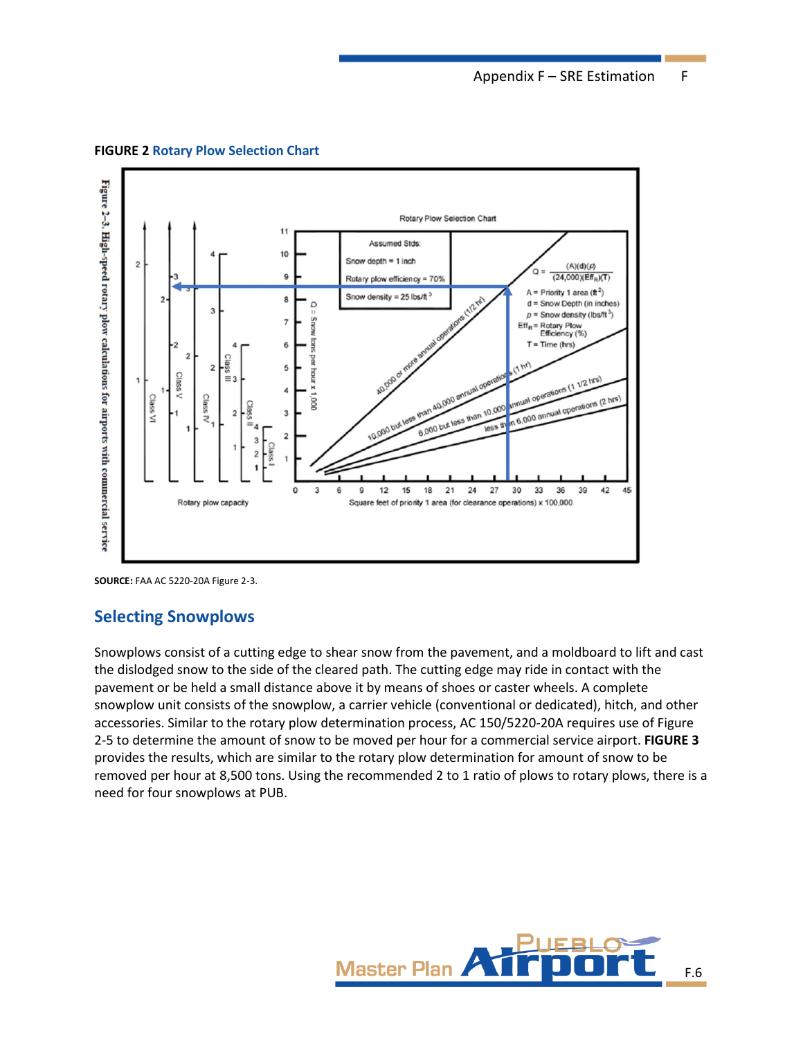

**FIGURE 2 Rotary Plow Selection Chart**

### **Selecting Snowplows**

Snowplows consist of a cutting edge to shear snow from the pavement, and a moldboard to lift and cast the dislodged snow to the side of the cleared path. The cutting edge may ride in contact with the pavement or be held a small distance above it by means of shoes or caster wheels. A complete snowplow unit consists of the snowplow, a carrier vehicle (conventional or dedicated), hitch, and other accessories. Similar to the rotary plow determination process, AC 150/5220-20A requires use of Figure 2-5 to determine the amount of snow to be moved per hour for a commercial service airport. **FIGURE 3** provides the results, which are similar to the rotary plow determination for amount of snow to be removed per hour at 8,500 tons. Using the recommended 2 to 1 ratio of plows to rotary plows, there is a need for four snowplows at PUB.



**SOURCE:** FAA AC 5220-20A Figure 2-3.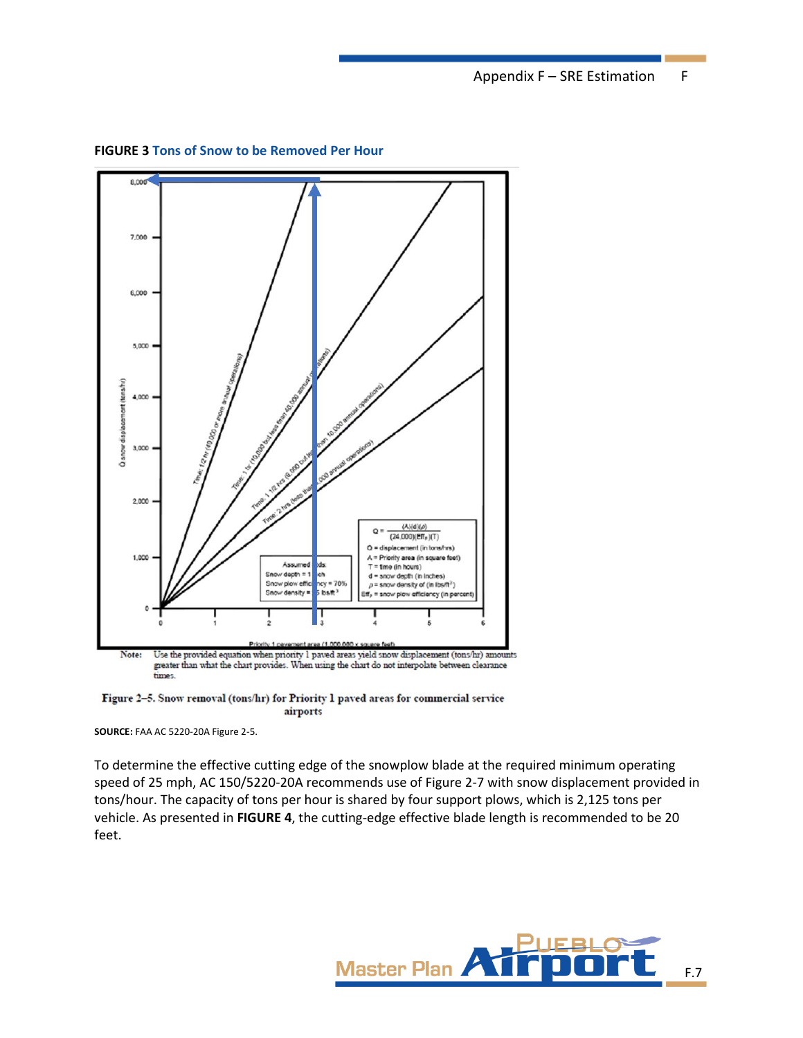Appendix F – SRE Estimation F



**FIGURE 3 Tons of Snow to be Removed Per Hour**

Figure 2-5. Snow removal (tons/hr) for Priority 1 paved areas for commercial service airports

**SOURCE:** FAA AC 5220-20A Figure 2-5.

To determine the effective cutting edge of the snowplow blade at the required minimum operating speed of 25 mph, AC 150/5220-20A recommends use of Figure 2-7 with snow displacement provided in tons/hour. The capacity of tons per hour is shared by four support plows, which is 2,125 tons per vehicle. As presented in **FIGURE 4**, the cutting-edge effective blade length is recommended to be 20 feet.

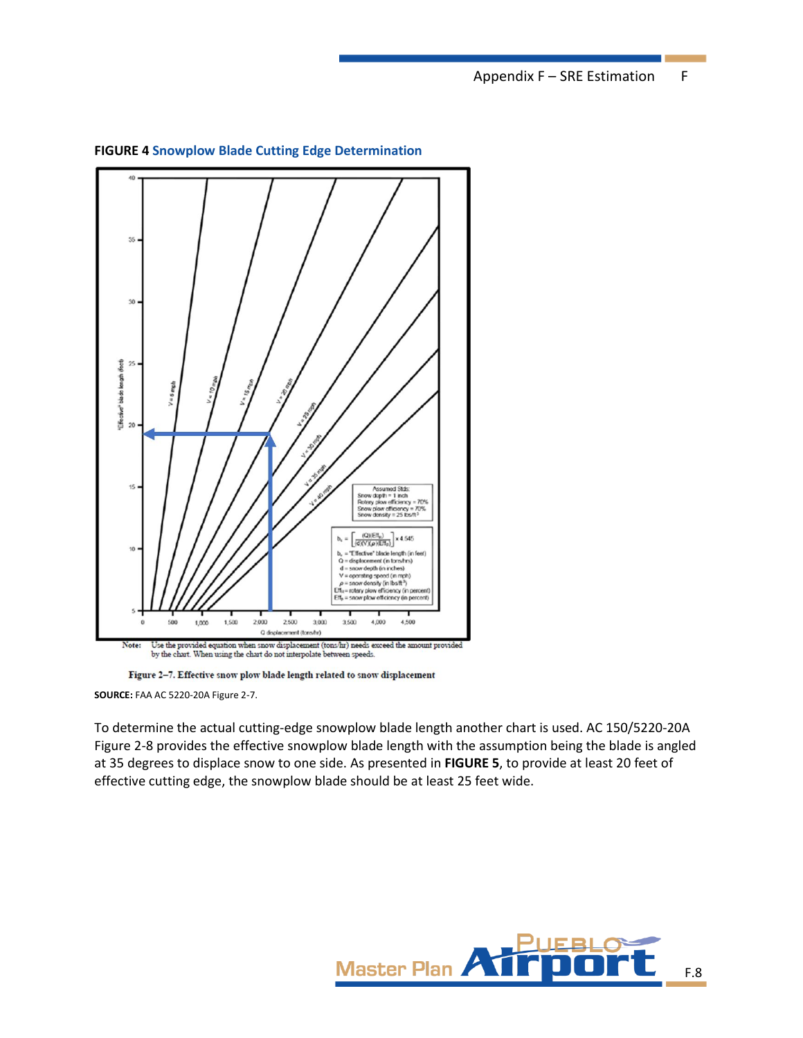Appendix F - SRE Estimation F



**FIGURE 4 Snowplow Blade Cutting Edge Determination**

Figure 2-7. Effective snow plow blade length related to snow displacement

**SOURCE:** FAA AC 5220-20A Figure 2-7.

To determine the actual cutting-edge snowplow blade length another chart is used. AC 150/5220-20A Figure 2-8 provides the effective snowplow blade length with the assumption being the blade is angled at 35 degrees to displace snow to one side. As presented in **FIGURE 5**, to provide at least 20 feet of effective cutting edge, the snowplow blade should be at least 25 feet wide.

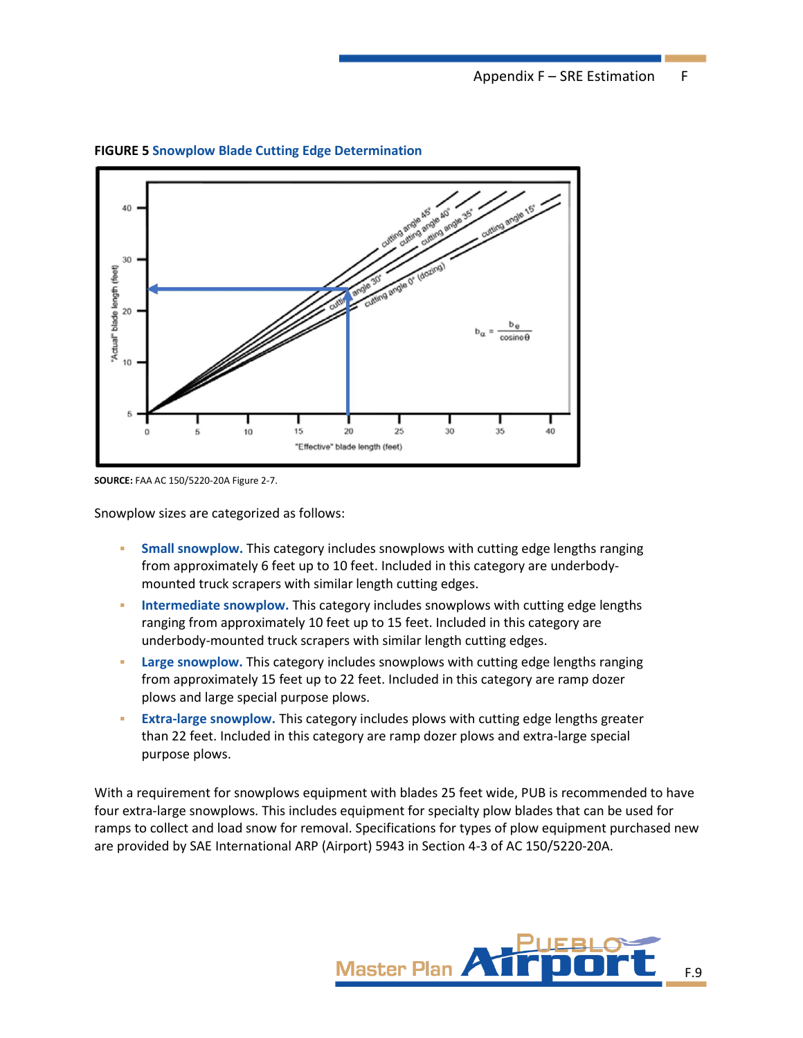

**FIGURE 5 Snowplow Blade Cutting Edge Determination**

**SOURCE:** FAA AC 150/5220-20A Figure 2-7.

Snowplow sizes are categorized as follows:

- **Small snowplow.** This category includes snowplows with cutting edge lengths ranging from approximately 6 feet up to 10 feet. Included in this category are underbodymounted truck scrapers with similar length cutting edges.
- **Intermediate snowplow.** This category includes snowplows with cutting edge lengths ranging from approximately 10 feet up to 15 feet. Included in this category are underbody-mounted truck scrapers with similar length cutting edges.
- **Example 3 Large snowplow.** This category includes snowplows with cutting edge lengths ranging from approximately 15 feet up to 22 feet. Included in this category are ramp dozer plows and large special purpose plows.
- **Extra-large snowplow.** This category includes plows with cutting edge lengths greater than 22 feet. Included in this category are ramp dozer plows and extra-large special purpose plows.

With a requirement for snowplows equipment with blades 25 feet wide, PUB is recommended to have four extra-large snowplows. This includes equipment for specialty plow blades that can be used for ramps to collect and load snow for removal. Specifications for types of plow equipment purchased new are provided by SAE International ARP (Airport) 5943 in Section 4-3 of AC 150/5220-20A.

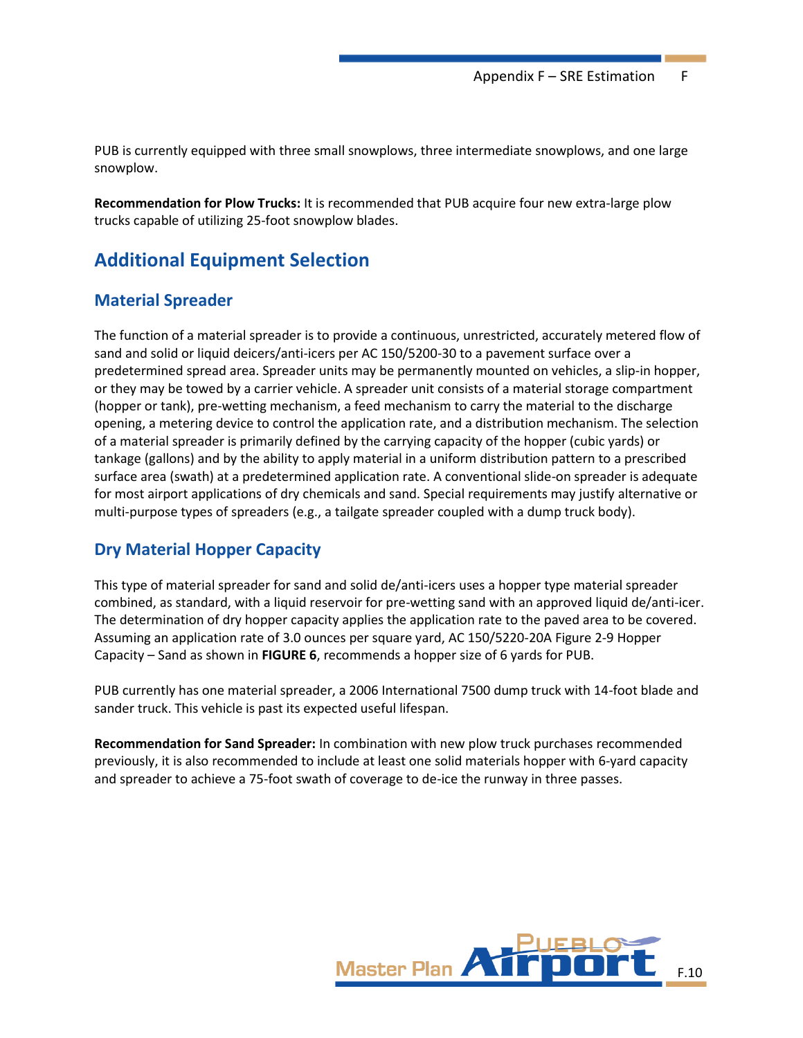PUB is currently equipped with three small snowplows, three intermediate snowplows, and one large snowplow.

**Recommendation for Plow Trucks:** It is recommended that PUB acquire four new extra-large plow trucks capable of utilizing 25-foot snowplow blades.

# **Additional Equipment Selection**

### **Material Spreader**

The function of a material spreader is to provide a continuous, unrestricted, accurately metered flow of sand and solid or liquid deicers/anti-icers per AC 150/5200-30 to a pavement surface over a predetermined spread area. Spreader units may be permanently mounted on vehicles, a slip-in hopper, or they may be towed by a carrier vehicle. A spreader unit consists of a material storage compartment (hopper or tank), pre-wetting mechanism, a feed mechanism to carry the material to the discharge opening, a metering device to control the application rate, and a distribution mechanism. The selection of a material spreader is primarily defined by the carrying capacity of the hopper (cubic yards) or tankage (gallons) and by the ability to apply material in a uniform distribution pattern to a prescribed surface area (swath) at a predetermined application rate. A conventional slide-on spreader is adequate for most airport applications of dry chemicals and sand. Special requirements may justify alternative or multi-purpose types of spreaders (e.g., a tailgate spreader coupled with a dump truck body).

### **Dry Material Hopper Capacity**

This type of material spreader for sand and solid de/anti-icers uses a hopper type material spreader combined, as standard, with a liquid reservoir for pre-wetting sand with an approved liquid de/anti-icer. The determination of dry hopper capacity applies the application rate to the paved area to be covered. Assuming an application rate of 3.0 ounces per square yard, AC 150/5220-20A Figure 2-9 Hopper Capacity – Sand as shown in **FIGURE 6**, recommends a hopper size of 6 yards for PUB.

PUB currently has one material spreader, a 2006 International 7500 dump truck with 14-foot blade and sander truck. This vehicle is past its expected useful lifespan.

**Recommendation for Sand Spreader:** In combination with new plow truck purchases recommended previously, it is also recommended to include at least one solid materials hopper with 6-yard capacity and spreader to achieve a 75-foot swath of coverage to de-ice the runway in three passes.

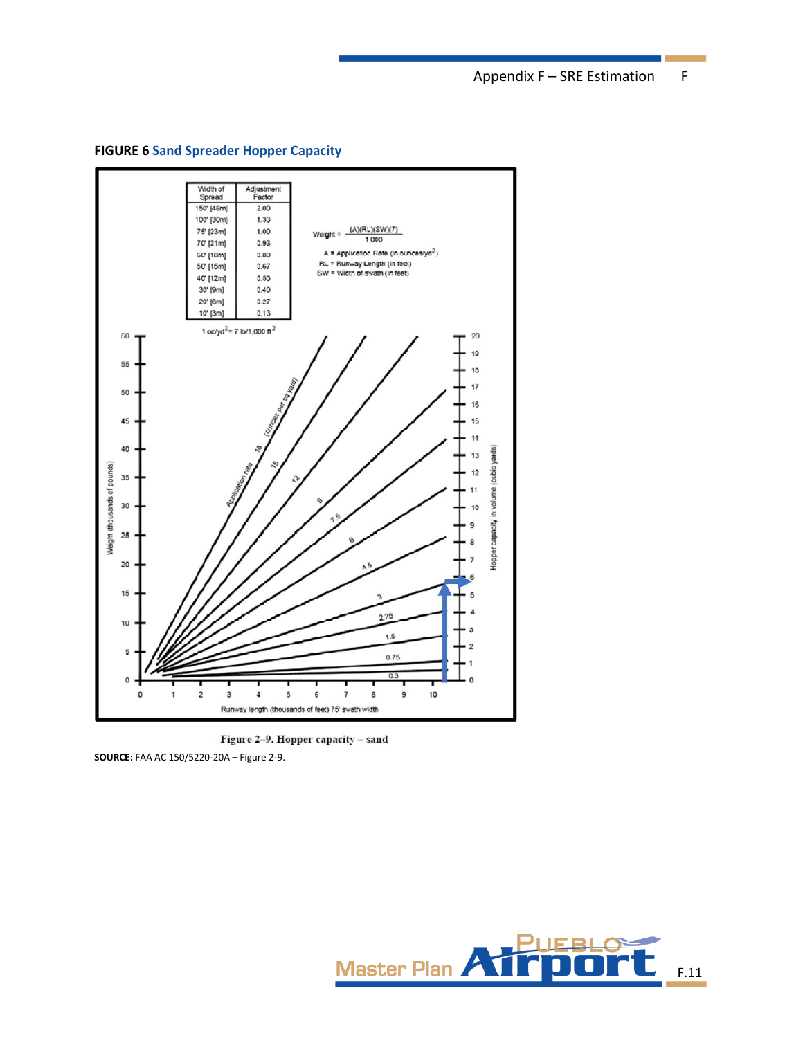**FIGURE 6 Sand Spreader Hopper Capacity**



Figure 2-9. Hopper capacity - sand

**SOURCE:** FAA AC 150/5220-20A – Figure 2-9.

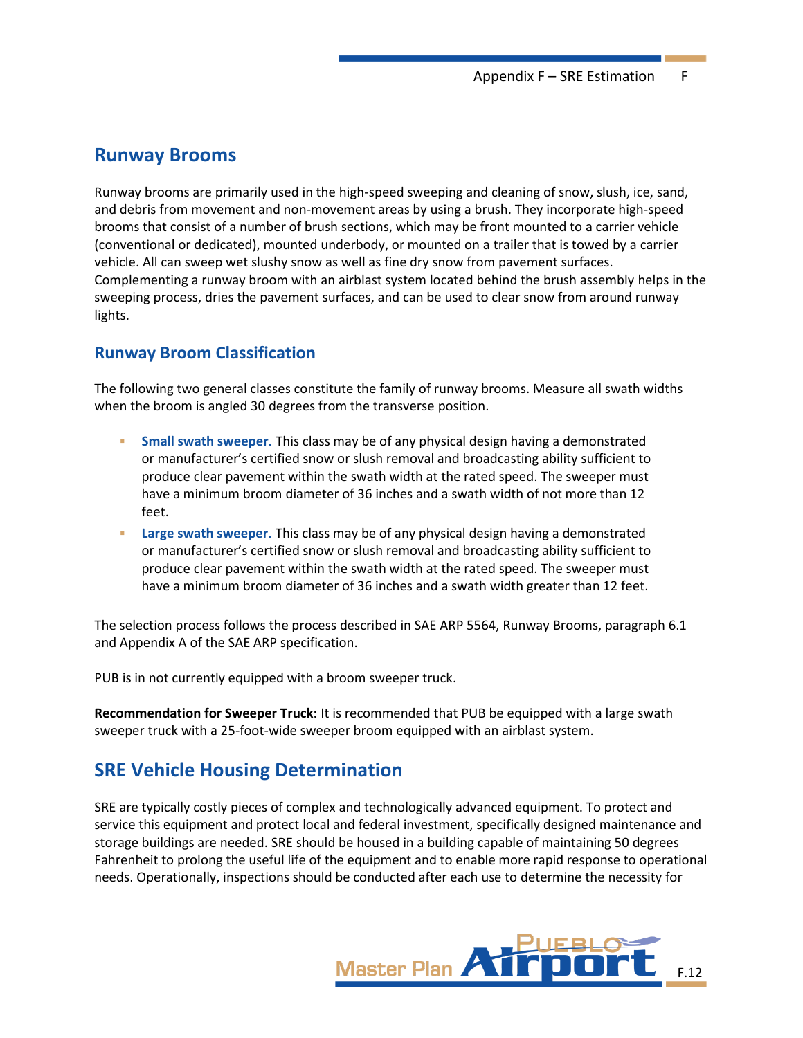### **Runway Brooms**

Runway brooms are primarily used in the high-speed sweeping and cleaning of snow, slush, ice, sand, and debris from movement and non-movement areas by using a brush. They incorporate high-speed brooms that consist of a number of brush sections, which may be front mounted to a carrier vehicle (conventional or dedicated), mounted underbody, or mounted on a trailer that is towed by a carrier vehicle. All can sweep wet slushy snow as well as fine dry snow from pavement surfaces. Complementing a runway broom with an airblast system located behind the brush assembly helps in the sweeping process, dries the pavement surfaces, and can be used to clear snow from around runway lights.

### **Runway Broom Classification**

The following two general classes constitute the family of runway brooms. Measure all swath widths when the broom is angled 30 degrees from the transverse position.

- **Small swath sweeper.** This class may be of any physical design having a demonstrated or manufacturer's certified snow or slush removal and broadcasting ability sufficient to produce clear pavement within the swath width at the rated speed. The sweeper must have a minimum broom diameter of 36 inches and a swath width of not more than 12 feet.
- Large swath sweeper. This class may be of any physical design having a demonstrated or manufacturer's certified snow or slush removal and broadcasting ability sufficient to produce clear pavement within the swath width at the rated speed. The sweeper must have a minimum broom diameter of 36 inches and a swath width greater than 12 feet.

The selection process follows the process described in SAE ARP 5564, Runway Brooms, paragraph 6.1 and Appendix A of the SAE ARP specification.

PUB is in not currently equipped with a broom sweeper truck.

**Recommendation for Sweeper Truck:** It is recommended that PUB be equipped with a large swath sweeper truck with a 25-foot-wide sweeper broom equipped with an airblast system.

# **SRE Vehicle Housing Determination**

SRE are typically costly pieces of complex and technologically advanced equipment. To protect and service this equipment and protect local and federal investment, specifically designed maintenance and storage buildings are needed. SRE should be housed in a building capable of maintaining 50 degrees Fahrenheit to prolong the useful life of the equipment and to enable more rapid response to operational needs. Operationally, inspections should be conducted after each use to determine the necessity for

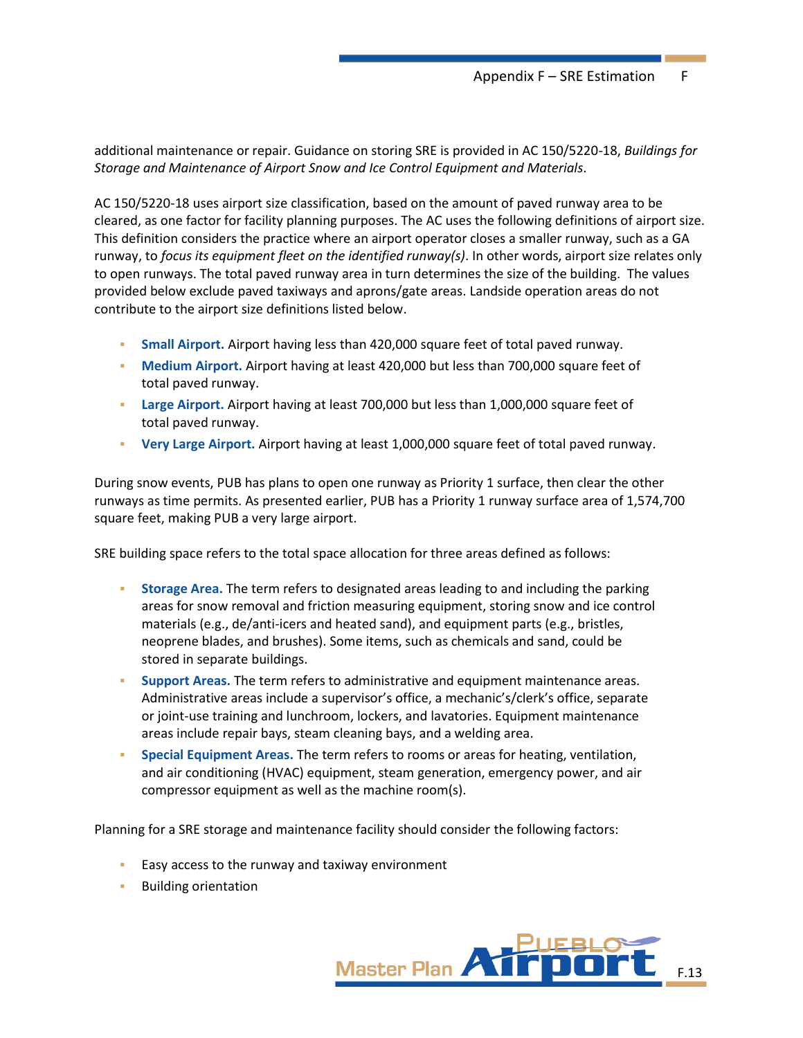additional maintenance or repair. Guidance on storing SRE is provided in AC 150/5220-18, *Buildings for Storage and Maintenance of Airport Snow and Ice Control Equipment and Materials*.

AC 150/5220-18 uses airport size classification, based on the amount of paved runway area to be cleared, as one factor for facility planning purposes. The AC uses the following definitions of airport size. This definition considers the practice where an airport operator closes a smaller runway, such as a GA runway, to *focus its equipment fleet on the identified runway(s)*. In other words, airport size relates only to open runways. The total paved runway area in turn determines the size of the building. The values provided below exclude paved taxiways and aprons/gate areas. Landside operation areas do not contribute to the airport size definitions listed below.

- Small Airport. Airport having less than 420,000 square feet of total paved runway.
- **Medium Airport.** Airport having at least 420,000 but less than 700,000 square feet of total paved runway.
- **Large Airport.** Airport having at least 700,000 but less than 1,000,000 square feet of total paved runway.
- **Very Large Airport.** Airport having at least 1,000,000 square feet of total paved runway.

During snow events, PUB has plans to open one runway as Priority 1 surface, then clear the other runways as time permits. As presented earlier, PUB has a Priority 1 runway surface area of 1,574,700 square feet, making PUB a very large airport.

SRE building space refers to the total space allocation for three areas defined as follows:

- **EXEDMO Area.** The term refers to designated areas leading to and including the parking areas for snow removal and friction measuring equipment, storing snow and ice control materials (e.g., de/anti-icers and heated sand), and equipment parts (e.g., bristles, neoprene blades, and brushes). Some items, such as chemicals and sand, could be stored in separate buildings.
- **Support Areas.** The term refers to administrative and equipment maintenance areas. Administrative areas include a supervisor's office, a mechanic's/clerk's office, separate or joint-use training and lunchroom, lockers, and lavatories. Equipment maintenance areas include repair bays, steam cleaning bays, and a welding area.
- **Special Equipment Areas.** The term refers to rooms or areas for heating, ventilation, and air conditioning (HVAC) equipment, steam generation, emergency power, and air compressor equipment as well as the machine room(s).

Planning for a SRE storage and maintenance facility should consider the following factors:

- Easy access to the runway and taxiway environment
- **Building orientation**

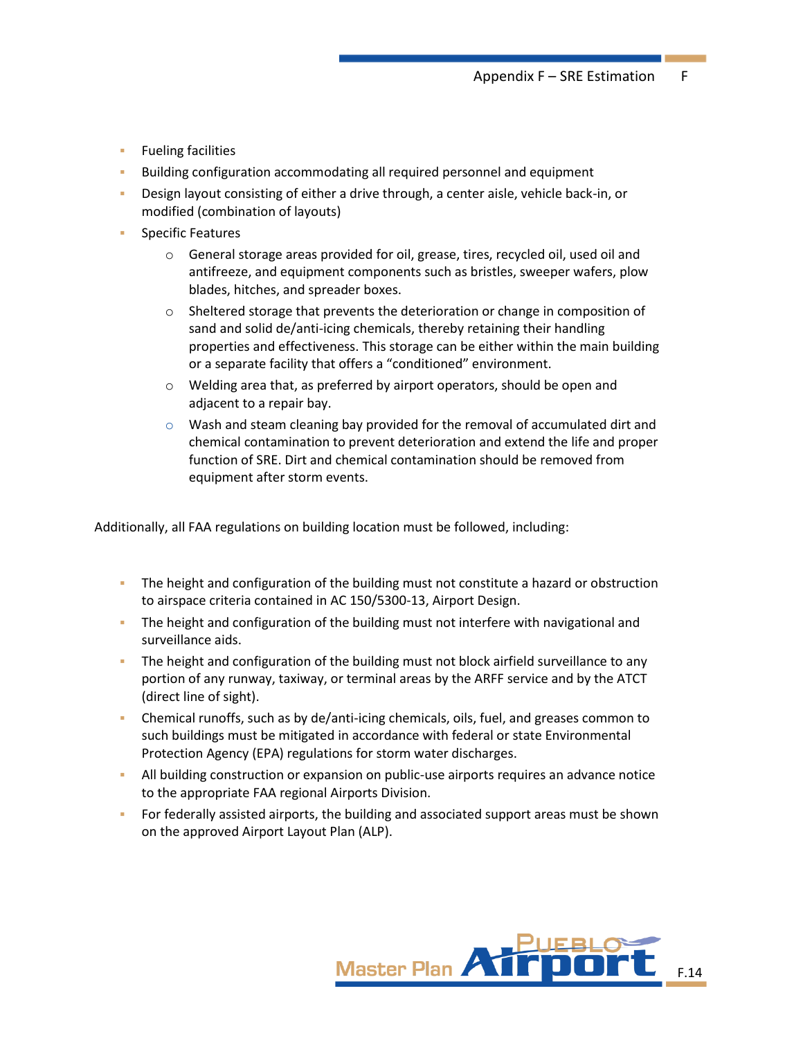- **EXEL Fueling facilities**
- Building configuration accommodating all required personnel and equipment
- Design layout consisting of either a drive through, a center aisle, vehicle back-in, or modified (combination of layouts)
- **Specific Features** 
	- $\circ$  General storage areas provided for oil, grease, tires, recycled oil, used oil and antifreeze, and equipment components such as bristles, sweeper wafers, plow blades, hitches, and spreader boxes.
	- $\circ$  Sheltered storage that prevents the deterioration or change in composition of sand and solid de/anti-icing chemicals, thereby retaining their handling properties and effectiveness. This storage can be either within the main building or a separate facility that offers a "conditioned" environment.
	- o Welding area that, as preferred by airport operators, should be open and adjacent to a repair bay.
	- $\circ$  Wash and steam cleaning bay provided for the removal of accumulated dirt and chemical contamination to prevent deterioration and extend the life and proper function of SRE. Dirt and chemical contamination should be removed from equipment after storm events.

Additionally, all FAA regulations on building location must be followed, including:

- **•** The height and configuration of the building must not constitute a hazard or obstruction to airspace criteria contained in AC 150/5300-13, Airport Design.
- **•** The height and configuration of the building must not interfere with navigational and surveillance aids.
- The height and configuration of the building must not block airfield surveillance to any portion of any runway, taxiway, or terminal areas by the ARFF service and by the ATCT (direct line of sight).
- Chemical runoffs, such as by de/anti-icing chemicals, oils, fuel, and greases common to such buildings must be mitigated in accordance with federal or state Environmental Protection Agency (EPA) regulations for storm water discharges.
- **EXECT** All building construction or expansion on public-use airports requires an advance notice to the appropriate FAA regional Airports Division.
- **•** For federally assisted airports, the building and associated support areas must be shown on the approved Airport Layout Plan (ALP).

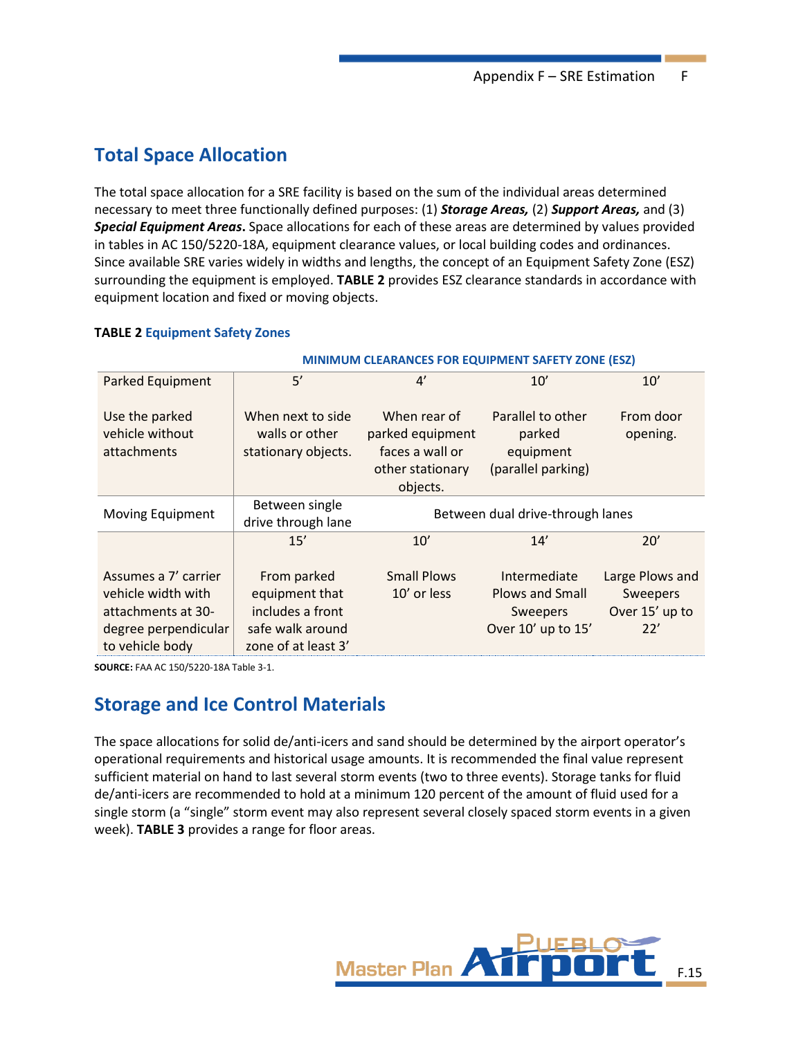# **Total Space Allocation**

The total space allocation for a SRE facility is based on the sum of the individual areas determined necessary to meet three functionally defined purposes: (1) *Storage Areas,* (2) *Support Areas,* and (3) *Special Equipment Areas***.** Space allocations for each of these areas are determined by values provided in tables in AC 150/5220-18A, equipment clearance values, or local building codes and ordinances. Since available SRE varies widely in widths and lengths, the concept of an Equipment Safety Zone (ESZ) surrounding the equipment is employed. **TABLE 2** provides ESZ clearance standards in accordance with equipment location and fixed or moving objects.

#### **TABLE 2 Equipment Safety Zones**

|                                                                                                             | MINIMUM CLEARANCES FOR EQUIPMENT SAFETY ZONE (ESZ)                                           |                                                                                     |                                                                          |                                                      |  |  |
|-------------------------------------------------------------------------------------------------------------|----------------------------------------------------------------------------------------------|-------------------------------------------------------------------------------------|--------------------------------------------------------------------------|------------------------------------------------------|--|--|
| <b>Parked Equipment</b>                                                                                     | 5'                                                                                           | $\mathbf{4}'$                                                                       | 10'                                                                      | 10'                                                  |  |  |
| Use the parked<br>vehicle without<br>attachments                                                            | When next to side<br>walls or other<br>stationary objects.                                   | When rear of<br>parked equipment<br>faces a wall or<br>other stationary<br>objects. | Parallel to other<br>parked<br>equipment<br>(parallel parking)           | From door<br>opening.                                |  |  |
| Moving Equipment                                                                                            | Between single<br>drive through lane                                                         | Between dual drive-through lanes                                                    |                                                                          |                                                      |  |  |
|                                                                                                             | 15'                                                                                          | 10'                                                                                 | 14'                                                                      | 20'                                                  |  |  |
| Assumes a 7' carrier<br>vehicle width with<br>attachments at 30-<br>degree perpendicular<br>to vehicle body | From parked<br>equipment that<br>includes a front<br>safe walk around<br>zone of at least 3' | <b>Small Plows</b><br>10' or less                                                   | Intermediate<br><b>Plows and Small</b><br>Sweepers<br>Over 10' up to 15' | Large Plows and<br>Sweepers<br>Over 15' up to<br>22' |  |  |

**SOURCE:** FAA AC 150/5220-18A Table 3-1.

# **Storage and Ice Control Materials**

The space allocations for solid de/anti-icers and sand should be determined by the airport operator's operational requirements and historical usage amounts. It is recommended the final value represent sufficient material on hand to last several storm events (two to three events). Storage tanks for fluid de/anti-icers are recommended to hold at a minimum 120 percent of the amount of fluid used for a single storm (a "single" storm event may also represent several closely spaced storm events in a given week). **TABLE 3** provides a range for floor areas.

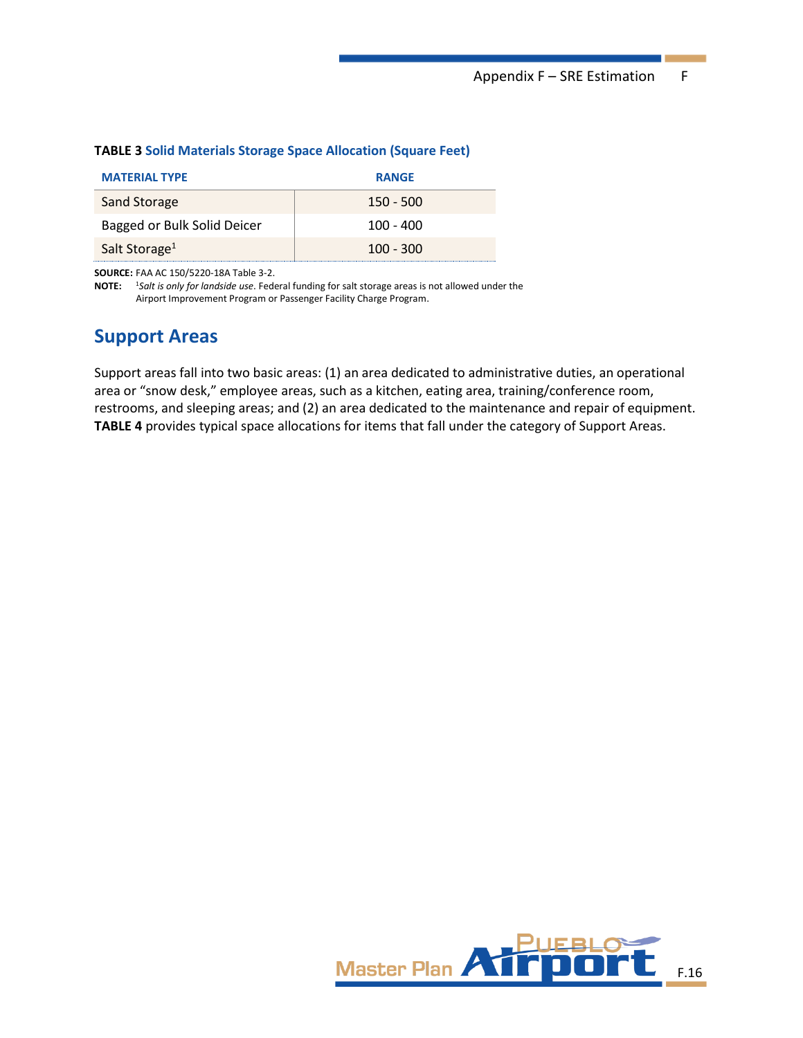| <b>MATERIAL TYPE</b>        | <b>RANGE</b> |
|-----------------------------|--------------|
| Sand Storage                | $150 - 500$  |
| Bagged or Bulk Solid Deicer | $100 - 400$  |
| Salt Storage <sup>1</sup>   | $100 - 300$  |

#### **TABLE 3 Solid Materials Storage Space Allocation (Square Feet)**

**SOURCE:** FAA AC 150/5220-18A Table 3-2.

**NOTE:** <sup>1</sup>*Salt is only for landside use*. Federal funding for salt storage areas is not allowed under the Airport Improvement Program or Passenger Facility Charge Program.

### **Support Areas**

Support areas fall into two basic areas: (1) an area dedicated to administrative duties, an operational area or "snow desk," employee areas, such as a kitchen, eating area, training/conference room, restrooms, and sleeping areas; and (2) an area dedicated to the maintenance and repair of equipment. **TABLE 4** provides typical space allocations for items that fall under the category of Support Areas.

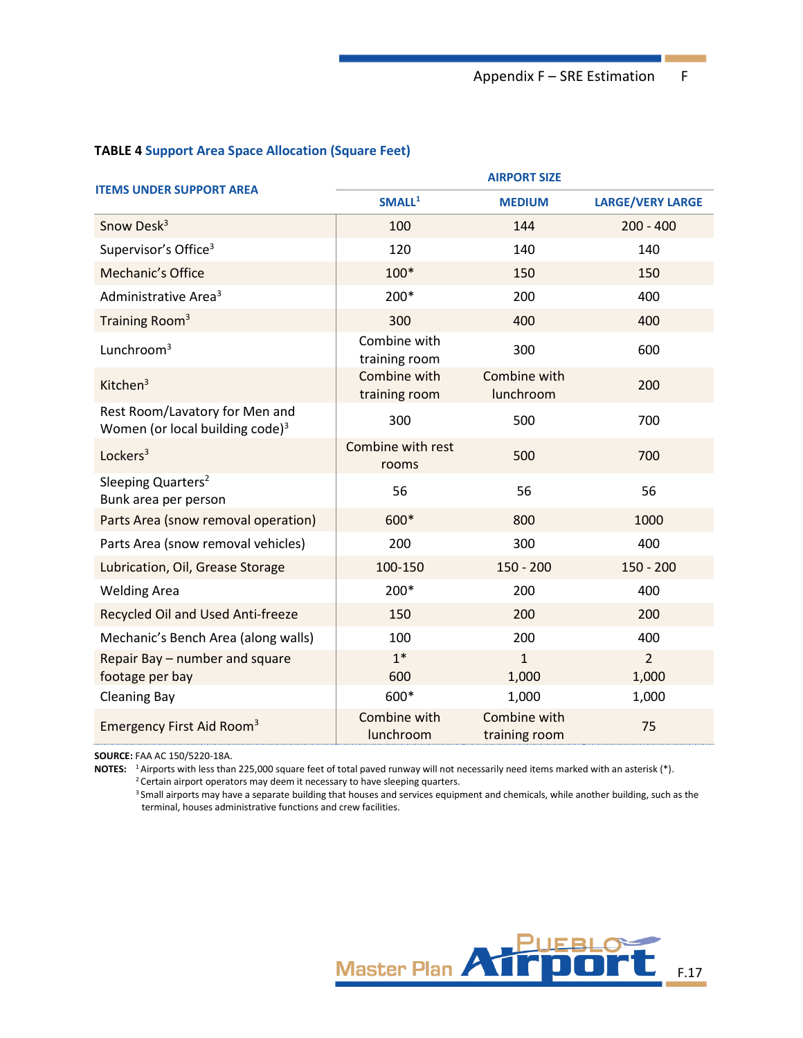#### **TABLE 4 Support Area Space Allocation (Square Feet)**

| <b>ITEMS UNDER SUPPORT AREA</b>                                      | <b>AIRPORT SIZE</b>           |                               |                         |  |  |  |
|----------------------------------------------------------------------|-------------------------------|-------------------------------|-------------------------|--|--|--|
|                                                                      | SMALL <sup>1</sup>            | <b>MEDIUM</b>                 | <b>LARGE/VERY LARGE</b> |  |  |  |
| Snow Desk <sup>3</sup>                                               | 100                           | 144                           | $200 - 400$             |  |  |  |
| Supervisor's Office <sup>3</sup>                                     | 120                           | 140                           | 140                     |  |  |  |
| Mechanic's Office                                                    | $100*$                        | 150                           | 150                     |  |  |  |
| Administrative Area <sup>3</sup>                                     | 200*                          | 200                           | 400                     |  |  |  |
| Training Room <sup>3</sup>                                           | 300                           | 400                           | 400                     |  |  |  |
| Lunchroom $3$                                                        | Combine with<br>training room | 300                           | 600                     |  |  |  |
| Kitchen $3$                                                          | Combine with<br>training room | Combine with<br>lunchroom     | 200                     |  |  |  |
| Rest Room/Lavatory for Men and<br>Women (or local building code) $3$ | 300                           | 500                           | 700                     |  |  |  |
| Lockers <sup>3</sup>                                                 | Combine with rest<br>rooms    | 500                           | 700                     |  |  |  |
| Sleeping Quarters <sup>2</sup><br>Bunk area per person               | 56                            | 56                            | 56                      |  |  |  |
| Parts Area (snow removal operation)                                  | 600*                          | 800                           | 1000                    |  |  |  |
| Parts Area (snow removal vehicles)                                   | 200                           | 300                           | 400                     |  |  |  |
| Lubrication, Oil, Grease Storage                                     | 100-150                       | $150 - 200$                   | $150 - 200$             |  |  |  |
| <b>Welding Area</b>                                                  | 200*                          | 200                           | 400                     |  |  |  |
| Recycled Oil and Used Anti-freeze                                    | 150                           | 200                           | 200                     |  |  |  |
| Mechanic's Bench Area (along walls)                                  | 100                           | 200                           | 400                     |  |  |  |
| Repair Bay - number and square<br>footage per bay                    | $1*$<br>600                   | 1<br>1,000                    | $\overline{2}$<br>1,000 |  |  |  |
| <b>Cleaning Bay</b>                                                  | 600*                          | 1,000                         | 1,000                   |  |  |  |
| Emergency First Aid Room <sup>3</sup>                                | Combine with<br>lunchroom     | Combine with<br>training room | 75                      |  |  |  |

**SOURCE:** FAA AC 150/5220-18A.

**NOTES:** <sup>1</sup> Airports with less than 225,000 square feet of total paved runway will not necessarily need items marked with an asterisk (\*). <sup>2</sup> Certain airport operators may deem it necessary to have sleeping quarters.

<sup>3</sup> Small airports may have a separate building that houses and services equipment and chemicals, while another building, such as the terminal, houses administrative functions and crew facilities.

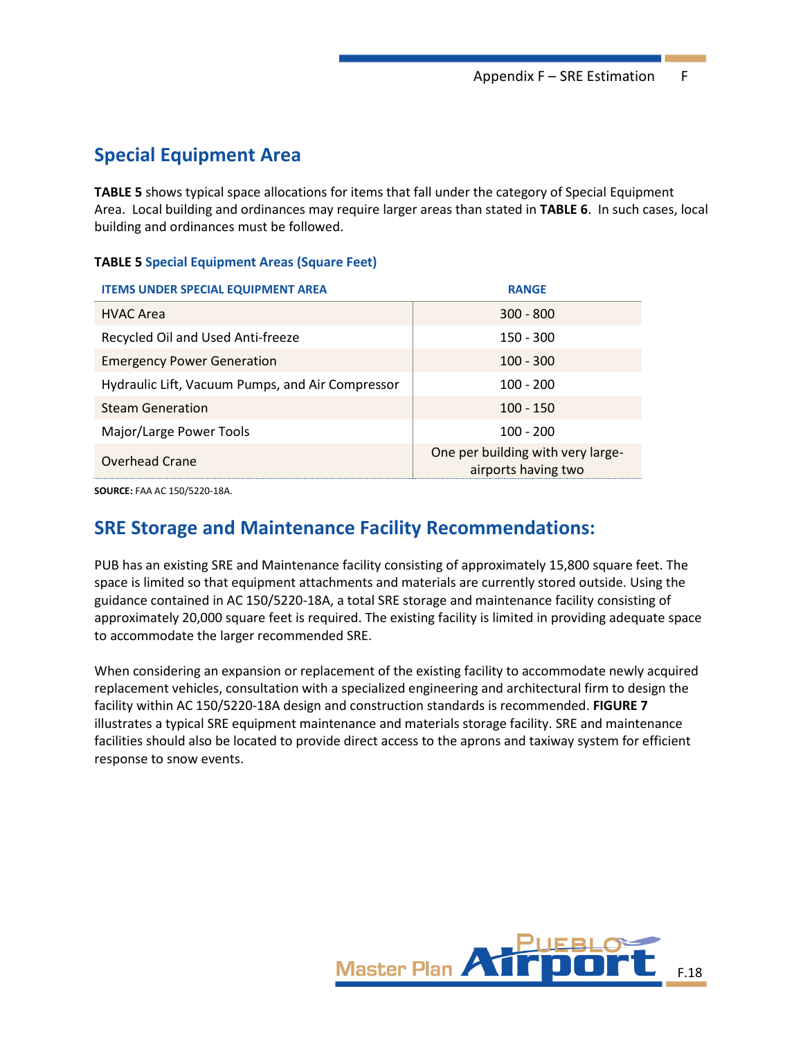# **Special Equipment Area**

**TABLE 5** shows typical space allocations for items that fall under the category of Special Equipment Area. Local building and ordinances may require larger areas than stated in **TABLE 6**. In such cases, local building and ordinances must be followed.

#### **TABLE 5 Special Equipment Areas (Square Feet)**

| <b>ITEMS UNDER SPECIAL EQUIPMENT AREA</b>        | <b>RANGE</b>                                             |
|--------------------------------------------------|----------------------------------------------------------|
| <b>HVAC Area</b>                                 | $300 - 800$                                              |
| Recycled Oil and Used Anti-freeze                | $150 - 300$                                              |
| <b>Emergency Power Generation</b>                | $100 - 300$                                              |
| Hydraulic Lift, Vacuum Pumps, and Air Compressor | $100 - 200$                                              |
| <b>Steam Generation</b>                          | $100 - 150$                                              |
| Major/Large Power Tools                          | $100 - 200$                                              |
| Overhead Crane                                   | One per building with very large-<br>airports having two |

**SOURCE:** FAA AC 150/5220-18A.

# **SRE Storage and Maintenance Facility Recommendations:**

PUB has an existing SRE and Maintenance facility consisting of approximately 15,800 square feet. The space is limited so that equipment attachments and materials are currently stored outside. Using the guidance contained in AC 150/5220-18A, a total SRE storage and maintenance facility consisting of approximately 20,000 square feet is required. The existing facility is limited in providing adequate space to accommodate the larger recommended SRE.

When considering an expansion or replacement of the existing facility to accommodate newly acquired replacement vehicles, consultation with a specialized engineering and architectural firm to design the facility within AC 150/5220-18A design and construction standards is recommended. **FIGURE 7** illustrates a typical SRE equipment maintenance and materials storage facility. SRE and maintenance facilities should also be located to provide direct access to the aprons and taxiway system for efficient response to snow events.